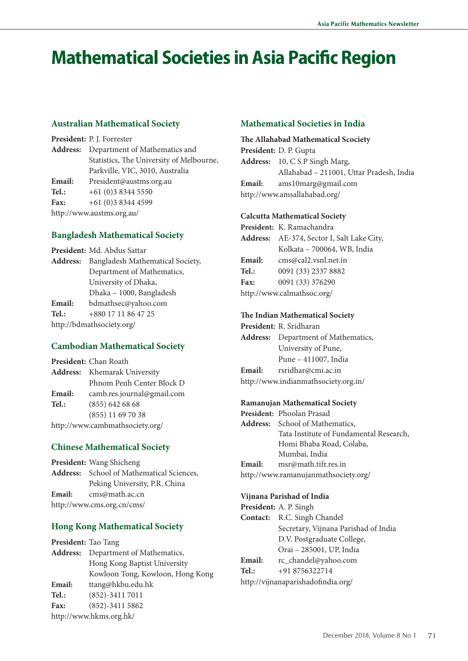# **Mathematical Societies in Asia Pacific Region**

## **Australian Mathematical Society**

**President:** P. J. Forrester **Address:** Department of Mathematics and Statistics, The University of Melbourne, Parkville, VIC, 3010, Australia **Email:** President@austms.org.au **Tel.:** +61 (0)3 8344 5550 **Fax:** +61 (0)3 8344 4599 http://www.austms.org.au/

## **Bangladesh Mathematical Society**

**President:** Md. Abdus Sattar **Address:** Bangladesh Mathematical Society, Department of Mathematics, University of Dhaka, Dhaka – 1000, Bangladesh **Email:** bdmathsec@yahoo.com **Tel.:** +880 17 11 86 47 25 http://bdmathsociety.org/

# **Cambodian Mathematical Society**

**President:** Chan Roath **Address:** Khemarak University Phnom Penh Center Block D **Email:** camb.res.journal@gmail.com **Tel.:** (855) 642 68 68 (855) 11 69 70 38 http://www.cambmathsociety.org/

# **Chinese Mathematical Society**

**President:** Wang Shicheng **Address:** School of Mathematical Sciences, Peking University, P.R. China **Email:** cms@math.ac.cn http://www.cms.org.cn/cms/

# **Hong Kong Mathematical Society**

**President:** Tao Tang **Address:** Department of Mathematics, Hong Kong Baptist University Kowloon Tong, Kowloon, Hong Kong **Email:** ttang@hkbu.edu.hk **Tel.:** (852)-3411 7011 **Fax:** (852)-3411 5862 http://www.hkms.org.hk/

## **Mathematical Societies in India**

#### **The Allahabad Mathematical Scociety**

**President:** D. P. Gupta **Address:** 10, C S P Singh Marg, Allahabad – 211001, Uttar Pradesh, India **Email:** ams10marg@gmail.com http://www.amsallahabad.org/

#### **Calcutta Mathematical Society**

**President:** K. Ramachandra **Address:** AE-374, Sector I, Salt Lake City, Kolkata – 700064, WB, India **Email:** cms@cal2.vsnl.net.in **Tel.:** 0091 (33) 2337 8882 **Fax:** 0091 (33) 376290 http://www.calmathsoc.org/

#### **The Indian Mathematical Society**

**President:** R. Sridharan **Address:** Department of Mathematics, University of Pune, Pune – 411007, India **Email:** rsridhar@cmi.ac.in http://www.indianmathsociety.org.in/

#### **Ramanujan Mathematical Society**

**President:** Phoolan Prasad **Address:** School of Mathematics, Tata Institute of Fundamental Research, Homi Bhaba Road, Colaba, Mumbai, India **Email:** msr@math.tifr.res.in http://www.ramanujanmathsociety.org/

#### **Vijnana Parishad of India**

**President:** A. P. Singh

**Contact:** R.C. Singh Chandel Secretary, Vijnana Parishad of India D.V. Postgraduate College, Orai – 285001, UP, India **Email:** rc\_chandel@yahoo.com **Tel.:** +91 8756322714 http://vijnanaparishadofindia.org/